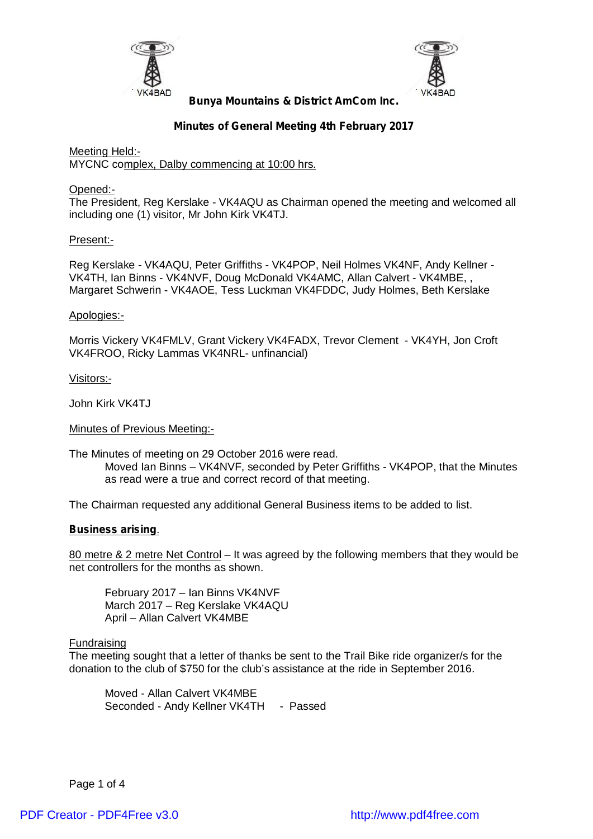



# **Minutes of General Meeting 4th February 2017**

Meeting Held:- MYCNC complex, Dalby commencing at 10:00 hrs.

Opened:-

The President, Reg Kerslake - VK4AQU as Chairman opened the meeting and welcomed all including one (1) visitor, Mr John Kirk VK4TJ.

# Present:-

Reg Kerslake - VK4AQU, Peter Griffiths - VK4POP, Neil Holmes VK4NF, Andy Kellner - VK4TH, Ian Binns - VK4NVF, Doug McDonald VK4AMC, Allan Calvert - VK4MBE, , Margaret Schwerin - VK4AOE, Tess Luckman VK4FDDC, Judy Holmes, Beth Kerslake

### Apologies:-

Morris Vickery VK4FMLV, Grant Vickery VK4FADX, Trevor Clement - VK4YH, Jon Croft VK4FROO, Ricky Lammas VK4NRL- unfinancial)

Visitors:-

John Kirk VK4TJ

Minutes of Previous Meeting:-

The Minutes of meeting on 29 October 2016 were read.

Moved Ian Binns – VK4NVF, seconded by Peter Griffiths - VK4POP, that the Minutes as read were a true and correct record of that meeting.

The Chairman requested any additional General Business items to be added to list.

#### **Business arising**.

80 metre & 2 metre Net Control – It was agreed by the following members that they would be net controllers for the months as shown.

February 2017 – Ian Binns VK4NVF March 2017 – Reg Kerslake VK4AQU April – Allan Calvert VK4MBE

# Fundraising

The meeting sought that a letter of thanks be sent to the Trail Bike ride organizer/s for the donation to the club of \$750 for the club's assistance at the ride in September 2016.

Moved - Allan Calvert VK4MBE Seconded - Andy Kellner VK4TH - Passed

Page 1 of 4

[PDF Creator - PDF4Free v3.0 http://www.pdf4free.com](http://www.pdfpdf.com/0.htm)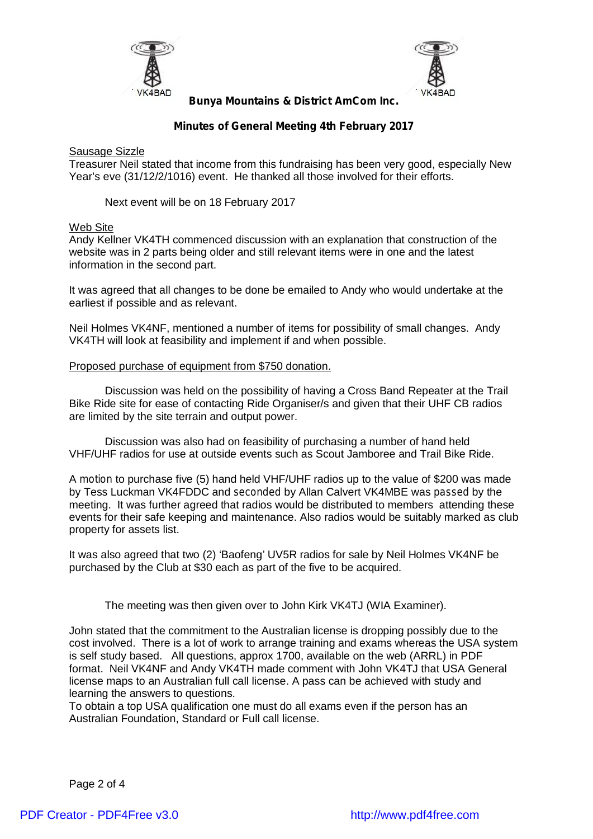



# **Minutes of General Meeting 4th February 2017**

Sausage Sizzle

Treasurer Neil stated that income from this fundraising has been very good, especially New Year's eve (31/12/2/1016) event. He thanked all those involved for their efforts.

Next event will be on 18 February 2017

### Web Site

Andy Kellner VK4TH commenced discussion with an explanation that construction of the website was in 2 parts being older and still relevant items were in one and the latest information in the second part.

It was agreed that all changes to be done be emailed to Andy who would undertake at the earliest if possible and as relevant.

Neil Holmes VK4NF, mentioned a number of items for possibility of small changes. Andy VK4TH will look at feasibility and implement if and when possible.

### Proposed purchase of equipment from \$750 donation.

Discussion was held on the possibility of having a Cross Band Repeater at the Trail Bike Ride site for ease of contacting Ride Organiser/s and given that their UHF CB radios are limited by the site terrain and output power.

Discussion was also had on feasibility of purchasing a number of hand held VHF/UHF radios for use at outside events such as Scout Jamboree and Trail Bike Ride.

A *motion* to purchase five (5) hand held VHF/UHF radios up to the value of \$200 was made by Tess Luckman VK4FDDC and *seconded* by Allan Calvert VK4MBE was *passed* by the meeting. It was further agreed that radios would be distributed to members attending these events for their safe keeping and maintenance. Also radios would be suitably marked as club property for assets list.

It was also agreed that two (2) 'Baofeng' UV5R radios for sale by Neil Holmes VK4NF be purchased by the Club at \$30 each as part of the five to be acquired.

The meeting was then given over to John Kirk VK4TJ (WIA Examiner).

John stated that the commitment to the Australian license is dropping possibly due to the cost involved. There is a lot of work to arrange training and exams whereas the USA system is self study based. All questions, approx 1700, available on the web (ARRL) in PDF format. Neil VK4NF and Andy VK4TH made comment with John VK4TJ that USA General license maps to an Australian full call license. A pass can be achieved with study and learning the answers to questions.

To obtain a top USA qualification one must do all exams even if the person has an Australian Foundation, Standard or Full call license.

Page 2 of 4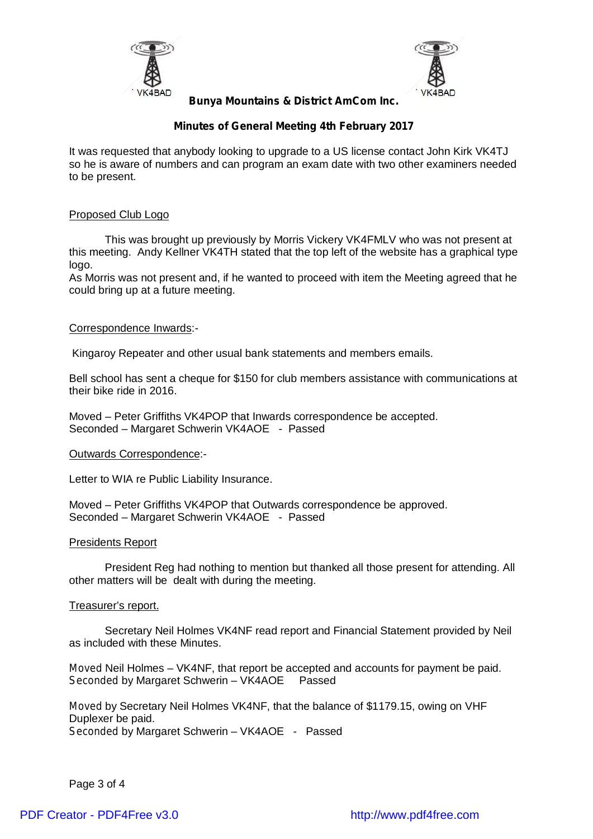



# **Minutes of General Meeting 4th February 2017**

It was requested that anybody looking to upgrade to a US license contact John Kirk VK4TJ so he is aware of numbers and can program an exam date with two other examiners needed to be present.

### Proposed Club Logo

This was brought up previously by Morris Vickery VK4FMLV who was not present at this meeting. Andy Kellner VK4TH stated that the top left of the website has a graphical type logo.

As Morris was not present and, if he wanted to proceed with item the Meeting agreed that he could bring up at a future meeting.

### Correspondence Inwards:-

Kingaroy Repeater and other usual bank statements and members emails.

Bell school has sent a cheque for \$150 for club members assistance with communications at their bike ride in 2016.

Moved – Peter Griffiths VK4POP that Inwards correspondence be accepted. Seconded – Margaret Schwerin VK4AOE - Passed

#### Outwards Correspondence:-

Letter to WIA re Public Liability Insurance.

Moved – Peter Griffiths VK4POP that Outwards correspondence be approved. Seconded – Margaret Schwerin VK4AOE - Passed

#### Presidents Report

President Reg had nothing to mention but thanked all those present for attending. All other matters will be dealt with during the meeting.

# Treasurer's report.

Secretary Neil Holmes VK4NF read report and Financial Statement provided by Neil as included with these Minutes.

*Moved* Neil Holmes – VK4NF, that report be accepted and accounts for payment be paid.<br>Seconded by Margaret Schwerin – VK4AOE Passed *Seconded* by Margaret Schwerin – VK4AOE

*Moved* by Secretary Neil Holmes VK4NF, that the balance of \$1179.15, owing on VHF Duplexer be paid. *Seconded* by Margaret Schwerin – VK4AOE - Passed

Page 3 of 4